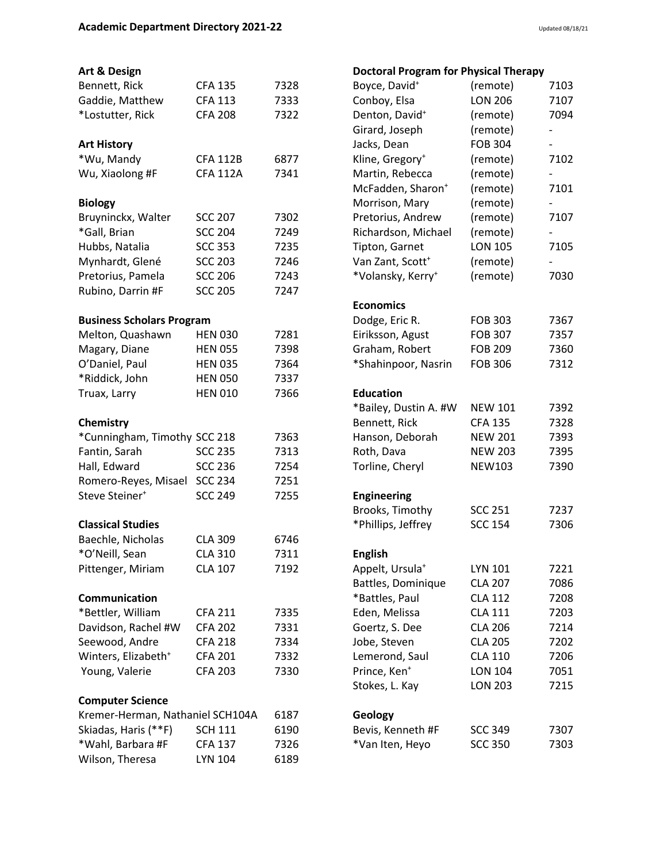| Art & Design                     |                 |      | <b>Doctoral Program for Physical Therapy</b> |                |                          |
|----------------------------------|-----------------|------|----------------------------------------------|----------------|--------------------------|
| Bennett, Rick                    | <b>CFA 135</b>  | 7328 | Boyce, David <sup>+</sup>                    | (remote)       | 7103                     |
| Gaddie, Matthew                  | <b>CFA 113</b>  | 7333 | Conboy, Elsa                                 | <b>LON 206</b> | 7107                     |
| *Lostutter, Rick                 | <b>CFA 208</b>  | 7322 | Denton, David <sup>+</sup>                   | (remote)       | 7094                     |
|                                  |                 |      | Girard, Joseph                               | (remote)       |                          |
| <b>Art History</b>               |                 |      | Jacks, Dean                                  | <b>FOB 304</b> | $\qquad \qquad -$        |
| *Wu, Mandy                       | <b>CFA 112B</b> | 6877 | Kline, Gregory <sup>+</sup>                  | (remote)       | 7102                     |
| Wu, Xiaolong #F                  | <b>CFA 112A</b> | 7341 | Martin, Rebecca                              | (remote)       | $\overline{\phantom{0}}$ |
|                                  |                 |      | McFadden, Sharon <sup>+</sup>                | (remote)       | 7101                     |
| <b>Biology</b>                   |                 |      | Morrison, Mary                               | (remote)       |                          |
| Bruyninckx, Walter               | <b>SCC 207</b>  | 7302 | Pretorius, Andrew                            | (remote)       | 7107                     |
| *Gall, Brian                     | <b>SCC 204</b>  | 7249 | Richardson, Michael                          | (remote)       | $\overline{\phantom{0}}$ |
| Hubbs, Natalia                   | <b>SCC 353</b>  | 7235 | Tipton, Garnet                               | <b>LON 105</b> | 7105                     |
| Mynhardt, Glené                  | <b>SCC 203</b>  | 7246 | Van Zant, Scott <sup>+</sup>                 | (remote)       |                          |
| Pretorius, Pamela                | <b>SCC 206</b>  | 7243 | *Volansky, Kerry <sup>+</sup>                | (remote)       | 7030                     |
| Rubino, Darrin #F                | <b>SCC 205</b>  | 7247 |                                              |                |                          |
|                                  |                 |      | <b>Economics</b>                             |                |                          |
| <b>Business Scholars Program</b> |                 |      | Dodge, Eric R.                               | <b>FOB 303</b> | 7367                     |
| Melton, Quashawn                 | <b>HEN 030</b>  | 7281 | Eiriksson, Agust                             | <b>FOB 307</b> | 7357                     |
| Magary, Diane                    | <b>HEN 055</b>  | 7398 | Graham, Robert                               | <b>FOB 209</b> | 7360                     |
| O'Daniel, Paul                   | <b>HEN 035</b>  | 7364 | *Shahinpoor, Nasrin                          | <b>FOB 306</b> | 7312                     |
| *Riddick, John                   | <b>HEN 050</b>  | 7337 |                                              |                |                          |
| Truax, Larry                     | <b>HEN 010</b>  | 7366 | <b>Education</b>                             |                |                          |
|                                  |                 |      | *Bailey, Dustin A. #W                        | <b>NEW 101</b> | 7392                     |
| Chemistry                        |                 |      | Bennett, Rick                                | <b>CFA 135</b> | 7328                     |
| *Cunningham, Timothy SCC 218     |                 | 7363 | Hanson, Deborah                              | <b>NEW 201</b> | 7393                     |
| Fantin, Sarah                    | <b>SCC 235</b>  | 7313 | Roth, Dava                                   | <b>NEW 203</b> | 7395                     |
| Hall, Edward                     | <b>SCC 236</b>  | 7254 | Torline, Cheryl                              | <b>NEW103</b>  | 7390                     |
| Romero-Reyes, Misael             | <b>SCC 234</b>  | 7251 |                                              |                |                          |
| Steve Steiner <sup>+</sup>       | <b>SCC 249</b>  | 7255 | <b>Engineering</b>                           |                |                          |
|                                  |                 |      | Brooks, Timothy                              | <b>SCC 251</b> | 7237                     |
| <b>Classical Studies</b>         |                 |      | *Phillips, Jeffrey                           | <b>SCC 154</b> | 7306                     |
| Baechle, Nicholas                | <b>CLA 309</b>  | 6746 |                                              |                |                          |
| *O'Neill, Sean                   | <b>CLA 310</b>  | 7311 | <b>English</b>                               |                |                          |
| Pittenger, Miriam                | <b>CLA 107</b>  | 7192 | Appelt, Ursula <sup>+</sup>                  | LYN 101        | 7221                     |
|                                  |                 |      | Battles, Dominique                           | <b>CLA 207</b> | 7086                     |
| Communication                    |                 |      | *Battles, Paul                               | <b>CLA 112</b> | 7208                     |
| *Bettler, William                | <b>CFA 211</b>  | 7335 | Eden, Melissa                                | <b>CLA 111</b> | 7203                     |
| Davidson, Rachel #W              | <b>CFA 202</b>  | 7331 | Goertz, S. Dee                               | <b>CLA 206</b> | 7214                     |
| Seewood, Andre                   | <b>CFA 218</b>  | 7334 | Jobe, Steven                                 | <b>CLA 205</b> | 7202                     |
| Winters, Elizabeth <sup>+</sup>  | <b>CFA 201</b>  | 7332 | Lemerond, Saul                               | <b>CLA 110</b> | 7206                     |
| Young, Valerie                   | <b>CFA 203</b>  | 7330 | Prince, Ken <sup>+</sup>                     | <b>LON 104</b> | 7051                     |
|                                  |                 |      | Stokes, L. Kay                               | <b>LON 203</b> | 7215                     |
| <b>Computer Science</b>          |                 |      |                                              |                |                          |
| Kremer-Herman, Nathaniel SCH104A |                 | 6187 | Geology                                      |                |                          |
| Skiadas, Haris (**F)             | <b>SCH 111</b>  | 6190 | Bevis, Kenneth #F                            | <b>SCC 349</b> | 7307                     |
| *Wahl, Barbara #F                | <b>CFA 137</b>  | 7326 | *Van Iten, Heyo                              | <b>SCC 350</b> | 7303                     |
| Wilson, Theresa                  | LYN 104         | 6189 |                                              |                |                          |
|                                  |                 |      |                                              |                |                          |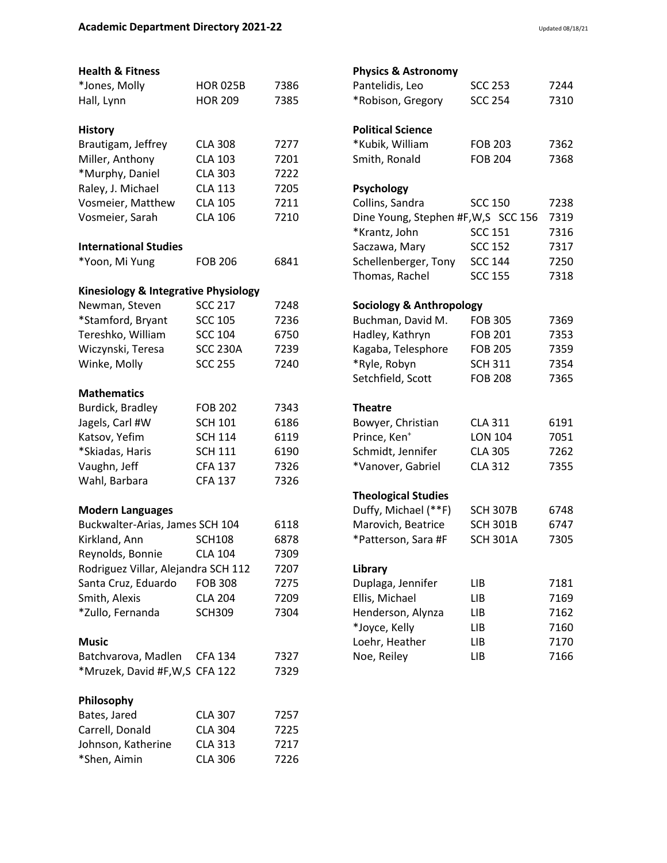## **Health & Fitness**

| *Jones, Molly                        | <b>HOR 025B</b> | 7386 |
|--------------------------------------|-----------------|------|
| Hall, Lynn                           | <b>HOR 209</b>  | 7385 |
|                                      |                 |      |
| <b>History</b><br>Brautigam, Jeffrey | <b>CLA 308</b>  | 7277 |
| Miller, Anthony                      | <b>CLA 103</b>  | 7201 |
| *Murphy, Daniel                      | <b>CLA 303</b>  | 7222 |
| Raley, J. Michael                    | <b>CLA 113</b>  | 7205 |
| Vosmeier, Matthew                    | <b>CLA 105</b>  | 7211 |
| Vosmeier, Sarah                      | <b>CLA 106</b>  | 7210 |
| <b>International Studies</b>         |                 |      |
| *Yoon, Mi Yung                       | <b>FOB 206</b>  | 6841 |
| Kinesiology & Integrative Physiology |                 |      |
| Newman, Steven                       | <b>SCC 217</b>  | 7248 |
| *Stamford, Bryant                    | <b>SCC 105</b>  | 7236 |
| Tereshko, William                    | <b>SCC 104</b>  | 6750 |
| Wiczynski, Teresa                    | <b>SCC 230A</b> | 7239 |
| Winke, Molly                         | <b>SCC 255</b>  | 7240 |
| <b>Mathematics</b>                   |                 |      |
| Burdick, Bradley                     | <b>FOB 202</b>  | 7343 |
| Jagels, Carl #W                      | <b>SCH 101</b>  | 6186 |
| Katsov, Yefim                        | <b>SCH 114</b>  | 6119 |
| *Skiadas, Haris                      | <b>SCH 111</b>  | 6190 |
| Vaughn, Jeff                         | <b>CFA 137</b>  | 7326 |
| Wahl, Barbara                        | <b>CFA 137</b>  | 7326 |
| <b>Modern Languages</b>              |                 |      |
| Buckwalter-Arias, James SCH 104      |                 | 6118 |
| Kirkland, Ann                        | <b>SCH108</b>   | 6878 |
| Reynolds, Bonnie                     | <b>CLA 104</b>  | 7309 |
| Rodriguez Villar, Alejandra SCH 112  |                 | 7207 |
| Santa Cruz, Eduardo                  | <b>FOB 308</b>  | 7275 |
| Smith, Alexis                        | <b>CLA 204</b>  | 7209 |
| *Zullo, Fernanda                     | <b>SCH309</b>   | 7304 |
| <b>Music</b>                         |                 |      |
| Batchvarova, Madlen                  | <b>CFA 134</b>  | 7327 |
| *Mruzek, David #F,W,S CFA 122        |                 | 7329 |
| Philosophy                           |                 |      |
| Bates, Jared                         | <b>CLA 307</b>  | 7257 |
| Carrell, Donald                      | <b>CLA 304</b>  | 7225 |
| Johnson, Katherine                   | <b>CLA 313</b>  | 7217 |
| *Shen, Aimin                         | <b>CLA 306</b>  | 7226 |

# **Physics & Astronomy**

| Pantelidis, Leo                     | <b>SCC 253</b>  | 7244 |
|-------------------------------------|-----------------|------|
| *Robison, Gregory                   | <b>SCC 254</b>  | 7310 |
|                                     |                 |      |
| <b>Political Science</b>            |                 |      |
| *Kubik, William                     | <b>FOB 203</b>  | 7362 |
| Smith, Ronald                       | <b>FOB 204</b>  | 7368 |
|                                     |                 |      |
| <b>Psychology</b>                   |                 |      |
| Collins, Sandra                     | <b>SCC 150</b>  | 7238 |
| Dine Young, Stephen #F,W,S SCC 156  |                 | 7319 |
| *Krantz, John                       | <b>SCC 151</b>  | 7316 |
| Saczawa, Mary                       | <b>SCC 152</b>  | 7317 |
| Schellenberger, Tony                | <b>SCC 144</b>  | 7250 |
| Thomas, Rachel                      | <b>SCC 155</b>  | 7318 |
|                                     |                 |      |
| <b>Sociology &amp; Anthropology</b> |                 |      |
| Buchman, David M.                   | <b>FOB 305</b>  | 7369 |
| Hadley, Kathryn                     | <b>FOB 201</b>  | 7353 |
| Kagaba, Telesphore                  | <b>FOB 205</b>  | 7359 |
| *Ryle, Robyn                        | <b>SCH 311</b>  | 7354 |
| Setchfield, Scott                   | <b>FOB 208</b>  | 7365 |
| <b>Theatre</b>                      |                 |      |
| Bowyer, Christian                   | <b>CLA 311</b>  | 6191 |
| Prince, Ken <sup>+</sup>            | <b>LON 104</b>  | 7051 |
|                                     |                 |      |
| Schmidt, Jennifer                   | <b>CLA 305</b>  | 7262 |
| *Vanover, Gabriel                   | <b>CLA 312</b>  | 7355 |
| <b>Theological Studies</b>          |                 |      |
| Duffy, Michael (**F)                | <b>SCH 307B</b> | 6748 |
| Marovich, Beatrice                  | <b>SCH 301B</b> | 6747 |
| *Patterson, Sara #F                 | <b>SCH 301A</b> | 7305 |
|                                     |                 |      |
| Library                             |                 |      |
| Duplaga, Jennifer                   | LIB             | 7181 |
| Ellis, Michael                      | LIB             | 7169 |
| Henderson, Alynza                   | LIB             | 7162 |
| *Joyce, Kelly                       | LІB             | 7160 |
| Loehr, Heather                      | LІB             | 7170 |
| Noe, Reiley                         | LІB             | 7166 |
|                                     |                 |      |